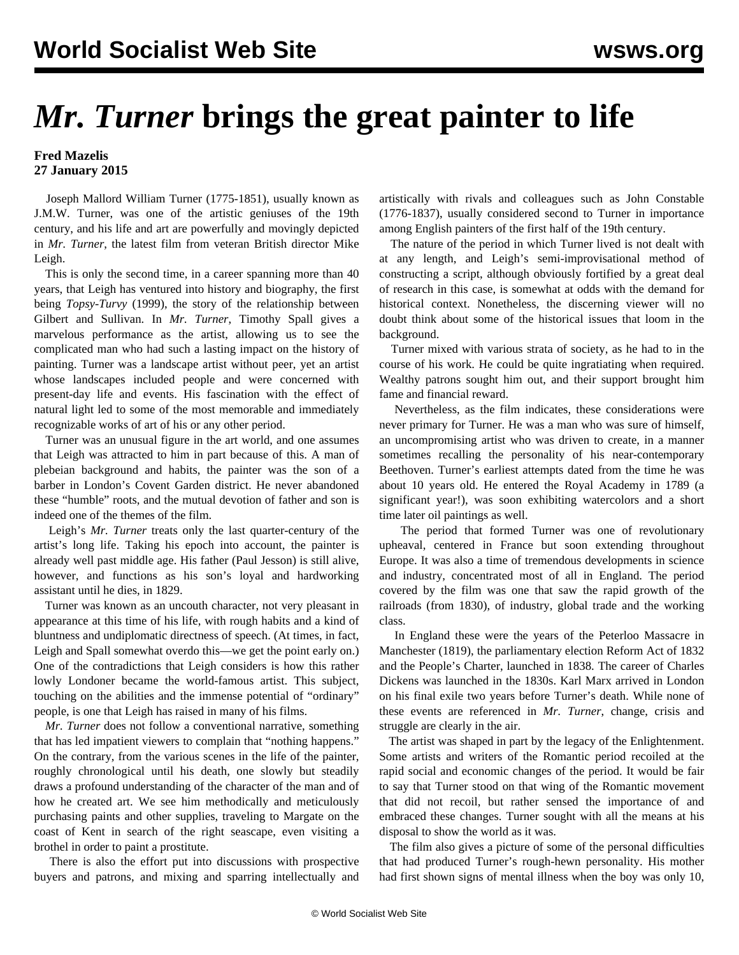## *Mr. Turner* **brings the great painter to life**

## **Fred Mazelis 27 January 2015**

 Joseph Mallord William Turner (1775-1851), usually known as J.M.W. Turner, was one of the artistic geniuses of the 19th century, and his life and art are powerfully and movingly depicted in *Mr. Turner*, the latest film from veteran British director Mike Leigh.

 This is only the second time, in a career spanning more than 40 years, that Leigh has ventured into history and biography, the first being *Topsy-Turvy* (1999), the story of the relationship between Gilbert and Sullivan. In *Mr. Turner*, Timothy Spall gives a marvelous performance as the artist, allowing us to see the complicated man who had such a lasting impact on the history of painting. Turner was a landscape artist without peer, yet an artist whose landscapes included people and were concerned with present-day life and events. His fascination with the effect of natural light led to some of the most memorable and immediately recognizable works of art of his or any other period.

 Turner was an unusual figure in the art world, and one assumes that Leigh was attracted to him in part because of this. A man of plebeian background and habits, the painter was the son of a barber in London's Covent Garden district. He never abandoned these "humble" roots, and the mutual devotion of father and son is indeed one of the themes of the film.

 Leigh's *Mr. Turner* treats only the last quarter-century of the artist's long life. Taking his epoch into account, the painter is already well past middle age. His father (Paul Jesson) is still alive, however, and functions as his son's loyal and hardworking assistant until he dies, in 1829.

 Turner was known as an uncouth character, not very pleasant in appearance at this time of his life, with rough habits and a kind of bluntness and undiplomatic directness of speech. (At times, in fact, Leigh and Spall somewhat overdo this—we get the point early on.) One of the contradictions that Leigh considers is how this rather lowly Londoner became the world-famous artist. This subject, touching on the abilities and the immense potential of "ordinary" people, is one that Leigh has raised in many of his films.

 *Mr. Turner* does not follow a conventional narrative, something that has led impatient viewers to complain that "nothing happens." On the contrary, from the various scenes in the life of the painter, roughly chronological until his death, one slowly but steadily draws a profound understanding of the character of the man and of how he created art. We see him methodically and meticulously purchasing paints and other supplies, traveling to Margate on the coast of Kent in search of the right seascape, even visiting a brothel in order to paint a prostitute.

 There is also the effort put into discussions with prospective buyers and patrons, and mixing and sparring intellectually and

artistically with rivals and colleagues such as John Constable (1776-1837), usually considered second to Turner in importance among English painters of the first half of the 19th century.

 The nature of the period in which Turner lived is not dealt with at any length, and Leigh's semi-improvisational method of constructing a script, although obviously fortified by a great deal of research in this case, is somewhat at odds with the demand for historical context. Nonetheless, the discerning viewer will no doubt think about some of the historical issues that loom in the background.

 Turner mixed with various strata of society, as he had to in the course of his work. He could be quite ingratiating when required. Wealthy patrons sought him out, and their support brought him fame and financial reward.

 Nevertheless, as the film indicates, these considerations were never primary for Turner. He was a man who was sure of himself, an uncompromising artist who was driven to create, in a manner sometimes recalling the personality of his near-contemporary Beethoven. Turner's earliest attempts dated from the time he was about 10 years old. He entered the Royal Academy in 1789 (a significant year!), was soon exhibiting watercolors and a short time later oil paintings as well.

 The period that formed Turner was one of revolutionary upheaval, centered in France but soon extending throughout Europe. It was also a time of tremendous developments in science and industry, concentrated most of all in England. The period covered by the film was one that saw the rapid growth of the railroads (from 1830), of industry, global trade and the working class.

 In England these were the years of the Peterloo Massacre in Manchester (1819), the parliamentary election Reform Act of 1832 and the People's Charter, launched in 1838. The career of Charles Dickens was launched in the 1830s. Karl Marx arrived in London on his final exile two years before Turner's death. While none of these events are referenced in *Mr. Turner*, change, crisis and struggle are clearly in the air.

 The artist was shaped in part by the legacy of the Enlightenment. Some artists and writers of the Romantic period recoiled at the rapid social and economic changes of the period. It would be fair to say that Turner stood on that wing of the Romantic movement that did not recoil, but rather sensed the importance of and embraced these changes. Turner sought with all the means at his disposal to show the world as it was.

 The film also gives a picture of some of the personal difficulties that had produced Turner's rough-hewn personality. His mother had first shown signs of mental illness when the boy was only 10,